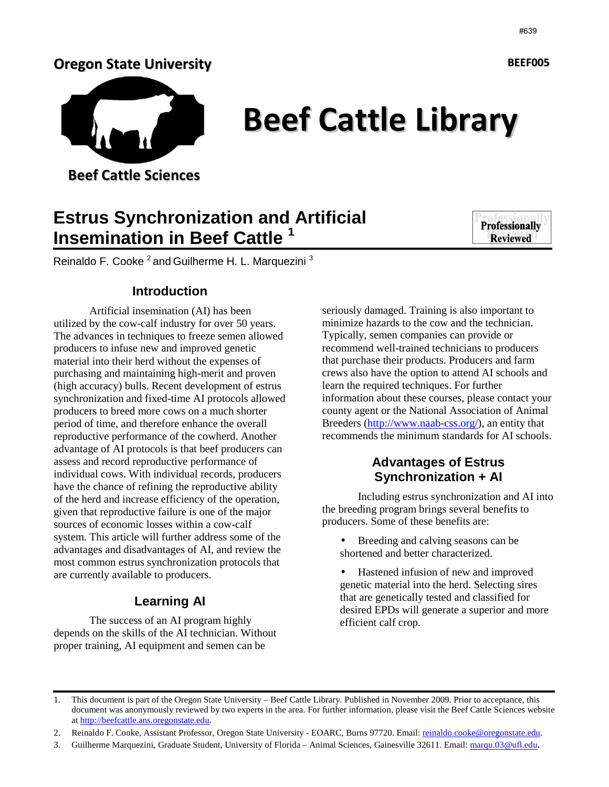#### Oregon State University



# Beef Cattle Library

Beef Cattle Sciences

# **Estrus Synchronization and Artificial Insemination in Beef Cattle <sup>1</sup>**



Reinaldo F. Cooke<sup>2</sup> and Guilherme H. L. Marquezini<sup>3</sup>

#### **Introduction**

Artificial insemination (AI) has been utilized by the cow-calf industry for over 50 years. The advances in techniques to freeze semen allowed producers to infuse new and improved genetic material into their herd without the expenses of purchasing and maintaining high-merit and proven (high accuracy) bulls. Recent development of estrus synchronization and fixed-time AI protocols allowed producers to breed more cows on a much shorter period of time, and therefore enhance the overall reproductive performance of the cowherd. Another advantage of AI protocols is that beef producers can assess and record reproductive performance of individual cows. With individual records, producers have the chance of refining the reproductive ability of the herd and increase efficiency of the operation, given that reproductive failure is one of the major sources of economic losses within a cow-calf system. This article will further address some of the advantages and disadvantages of AI, and review the most common estrus synchronization protocols that are currently available to producers.

### **Learning AI**

The success of an AI program highly depends on the skills of the AI technician. Without proper training, AI equipment and semen can be

seriously damaged. Training is also important to minimize hazards to the cow and the technician. Typically, semen companies can provide or recommend well-trained technicians to producers that purchase their products. Producers and farm crews also have the option to attend AI schools and learn the required techniques. For further information about these courses, please contact your county agent or the National Association of Animal Breeders (http://www.naab-css.org/), an entity that recommends the minimum standards for AI schools.

#### **Advantages of Estrus Synchronization + AI**

 Including estrus synchronization and AI into the breeding program brings several benefits to producers. Some of these benefits are:

- Breeding and calving seasons can be shortened and better characterized.
- Hastened infusion of new and improved genetic material into the herd. Selecting sires that are genetically tested and classified for desired EPDs will generate a superior and more efficient calf crop.

BEEF005

<sup>1.</sup> This document is part of the Oregon State University – Beef Cattle Library. Published in November 2009. Prior to acceptance, this document was anonymously reviewed by two experts in the area. For further information, please visit the Beef Cattle Sciences website at http://beefcattle.ans.oregonstate.edu.

<sup>2.</sup> Reinaldo F. Cooke, Assistant Professor, Oregon State University - EOARC, Burns 97720. Email: reinaldo.cooke@oregonstate.edu.

<sup>3.</sup> Guilherme Marquezini, Graduate Student, University of Florida – Animal Sciences, Gainesville 32611. Email: marqu.03@ufl.edu.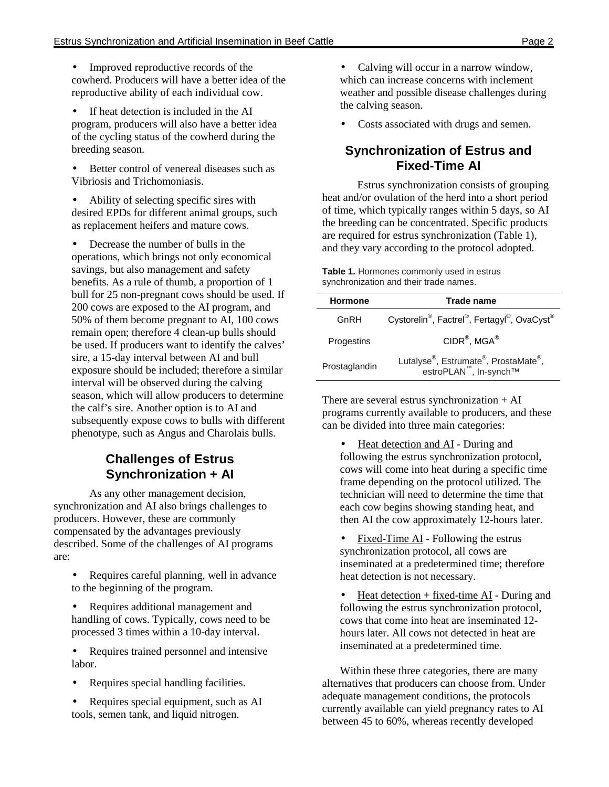- Improved reproductive records of the cowherd. Producers will have a better idea of the reproductive ability of each individual cow.
- If heat detection is included in the AI program, producers will also have a better idea of the cycling status of the cowherd during the breeding season.
- Better control of venereal diseases such as Vibriosis and Trichomoniasis.
- Ability of selecting specific sires with desired EPDs for different animal groups, such as replacement heifers and mature cows.

• Decrease the number of bulls in the operations, which brings not only economical savings, but also management and safety benefits. As a rule of thumb, a proportion of 1 bull for 25 non-pregnant cows should be used. If 200 cows are exposed to the AI program, and 50% of them become pregnant to AI, 100 cows remain open; therefore 4 clean-up bulls should be used. If producers want to identify the calves' sire, a 15-day interval between AI and bull exposure should be included; therefore a similar interval will be observed during the calving season, which will allow producers to determine the calf's sire. Another option is to AI and subsequently expose cows to bulls with different phenotype, such as Angus and Charolais bulls.

#### **Challenges of Estrus Synchronization + AI**

As any other management decision, synchronization and AI also brings challenges to producers. However, these are commonly compensated by the advantages previously described. Some of the challenges of AI programs are:

- Requires careful planning, well in advance to the beginning of the program.
- Requires additional management and handling of cows. Typically, cows need to be processed 3 times within a 10-day interval.
- Requires trained personnel and intensive labor.
- Requires special handling facilities.
- Requires special equipment, such as AI tools, semen tank, and liquid nitrogen.
- Calving will occur in a narrow window, which can increase concerns with inclement weather and possible disease challenges during the calving season.
- Costs associated with drugs and semen.

#### **Synchronization of Estrus and Fixed-Time AI**

 Estrus synchronization consists of grouping heat and/or ovulation of the herd into a short period of time, which typically ranges within 5 days, so AI the breeding can be concentrated. Specific products are required for estrus synchronization (Table 1), and they vary according to the protocol adopted.

**Table 1.** Hormones commonly used in estrus synchronization and their trade names.

| <b>Hormone</b> | Trade name                                                                                                       |  |  |
|----------------|------------------------------------------------------------------------------------------------------------------|--|--|
| GnRH           | Cystorelin <sup>®</sup> , Factrel <sup>®</sup> , Fertagyl <sup>®</sup> , OvaCyst <sup>®</sup>                    |  |  |
| Progestins     | $CIDR^{\circledR}$ , MGA $^{\circledR}$                                                                          |  |  |
| Prostaglandin  | Lutalyse <sup>®</sup> , Estrumate <sup>®</sup> , ProstaMate <sup>®</sup> ,<br>estroPLAN <sup>™</sup> , In-synch™ |  |  |

There are several estrus synchronization  $+ AI$ programs currently available to producers, and these can be divided into three main categories:

- Heat detection and AI During and following the estrus synchronization protocol, cows will come into heat during a specific time frame depending on the protocol utilized. The technician will need to determine the time that each cow begins showing standing heat, and then AI the cow approximately 12-hours later.
- Fixed-Time AI Following the estrus synchronization protocol, all cows are inseminated at a predetermined time; therefore heat detection is not necessary.
- Heat detection  $+$  fixed-time AI During and following the estrus synchronization protocol, cows that come into heat are inseminated 12 hours later. All cows not detected in heat are inseminated at a predetermined time.

Within these three categories, there are many alternatives that producers can choose from. Under adequate management conditions, the protocols currently available can yield pregnancy rates to AI between 45 to 60%, whereas recently developed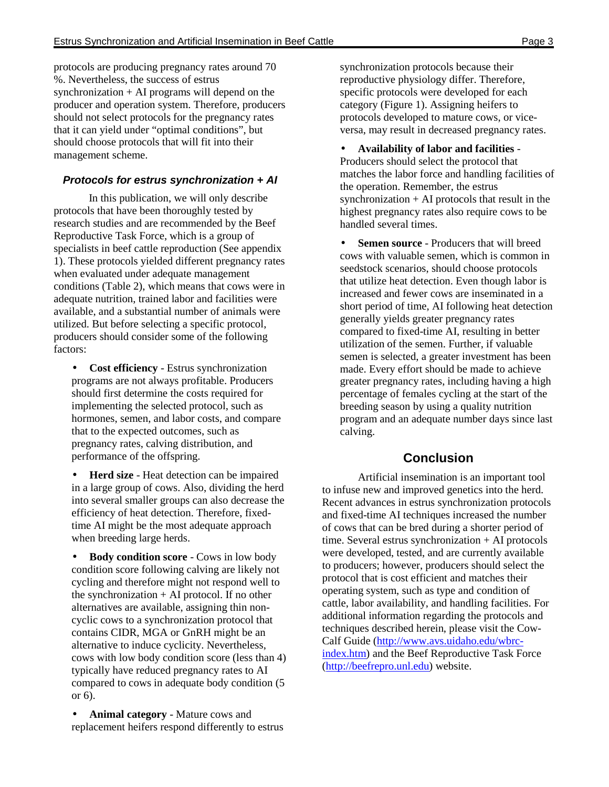protocols are producing pregnancy rates around 70 %. Nevertheless, the success of estrus synchronization + AI programs will depend on the producer and operation system. Therefore, producers should not select protocols for the pregnancy rates that it can yield under "optimal conditions", but should choose protocols that will fit into their management scheme.

#### **Protocols for estrus synchronization + AI**

 In this publication, we will only describe protocols that have been thoroughly tested by research studies and are recommended by the Beef Reproductive Task Force, which is a group of specialists in beef cattle reproduction (See appendix 1). These protocols yielded different pregnancy rates when evaluated under adequate management conditions (Table 2), which means that cows were in adequate nutrition, trained labor and facilities were available, and a substantial number of animals were utilized. But before selecting a specific protocol, producers should consider some of the following factors:

• **Cost efficiency** - Estrus synchronization programs are not always profitable. Producers should first determine the costs required for implementing the selected protocol, such as hormones, semen, and labor costs, and compare that to the expected outcomes, such as pregnancy rates, calving distribution, and performance of the offspring.

• **Herd size** - Heat detection can be impaired in a large group of cows. Also, dividing the herd into several smaller groups can also decrease the efficiency of heat detection. Therefore, fixedtime AI might be the most adequate approach when breeding large herds.

• **Body condition score** - Cows in low body condition score following calving are likely not cycling and therefore might not respond well to the synchronization + AI protocol. If no other alternatives are available, assigning thin noncyclic cows to a synchronization protocol that contains CIDR, MGA or GnRH might be an alternative to induce cyclicity. Nevertheless, cows with low body condition score (less than 4) typically have reduced pregnancy rates to AI compared to cows in adequate body condition (5 or 6).

• **Animal category** - Mature cows and replacement heifers respond differently to estrus

synchronization protocols because their reproductive physiology differ. Therefore, specific protocols were developed for each category (Figure 1). Assigning heifers to protocols developed to mature cows, or viceversa, may result in decreased pregnancy rates.

• **Availability of labor and facilities** - Producers should select the protocol that matches the labor force and handling facilities of the operation. Remember, the estrus synchronization  $+ AI$  protocols that result in the highest pregnancy rates also require cows to be handled several times.

**Semen source** - Producers that will breed cows with valuable semen, which is common in seedstock scenarios, should choose protocols that utilize heat detection. Even though labor is increased and fewer cows are inseminated in a short period of time, AI following heat detection generally yields greater pregnancy rates compared to fixed-time AI, resulting in better utilization of the semen. Further, if valuable semen is selected, a greater investment has been made. Every effort should be made to achieve greater pregnancy rates, including having a high percentage of females cycling at the start of the breeding season by using a quality nutrition program and an adequate number days since last calving.

#### **Conclusion**

 Artificial insemination is an important tool to infuse new and improved genetics into the herd. Recent advances in estrus synchronization protocols and fixed-time AI techniques increased the number of cows that can be bred during a shorter period of time. Several estrus synchronization + AI protocols were developed, tested, and are currently available to producers; however, producers should select the protocol that is cost efficient and matches their operating system, such as type and condition of cattle, labor availability, and handling facilities. For additional information regarding the protocols and techniques described herein, please visit the Cow-Calf Guide (http://www.avs.uidaho.edu/wbrcindex.htm) and the Beef Reproductive Task Force (http://beefrepro.unl.edu) website.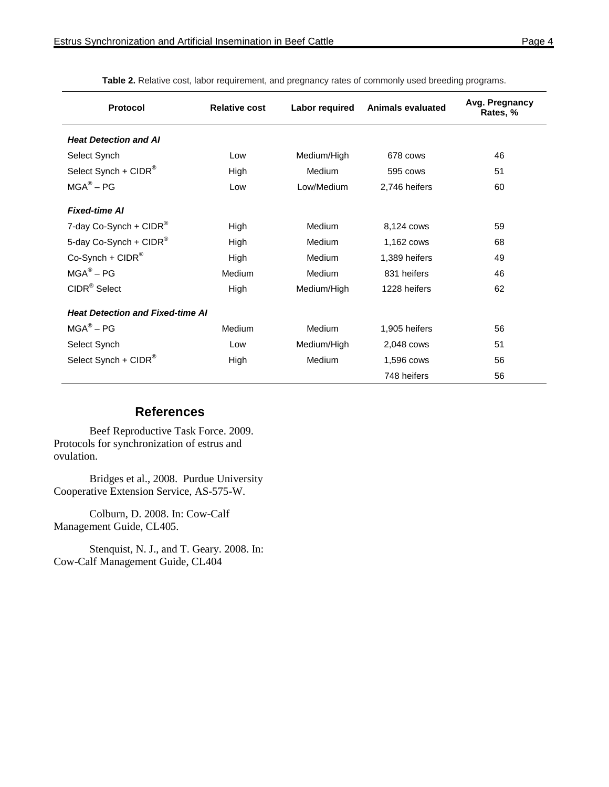| Protocol                                | <b>Relative cost</b> | Labor required | <b>Animals evaluated</b> | Avg. Pregnancy<br>Rates, % |
|-----------------------------------------|----------------------|----------------|--------------------------|----------------------------|
| <b>Heat Detection and AI</b>            |                      |                |                          |                            |
| Select Synch                            | Low                  | Medium/High    | 678 cows                 | 46                         |
| Select Synch + $CIDR^®$                 | High                 | Medium         | 595 cows                 | 51                         |
| $MGA^{\circledR} - PG$                  | Low                  | Low/Medium     | 2,746 heifers            | 60                         |
| <b>Fixed-time AI</b>                    |                      |                |                          |                            |
| 7-day Co-Synch + $CIDR^{\circledR}$     | High                 | <b>Medium</b>  | 8,124 cows               | 59                         |
| 5-day Co-Synch + CIDR®                  | High                 | Medium         | 1,162 cows               | 68                         |
| $Co-Synch + CIDR^@$                     | High                 | Medium         | 1,389 heifers            | 49                         |
| $MGA^{\circledR} - PG$                  | Medium               | Medium         | 831 heifers              | 46                         |
| CIDR <sup>®</sup> Select                | High                 | Medium/High    | 1228 heifers             | 62                         |
| <b>Heat Detection and Fixed-time AI</b> |                      |                |                          |                            |
| $MGA^{\otimes} - PG$                    | Medium               | Medium         | 1,905 heifers            | 56                         |
| Select Synch                            | Low                  | Medium/High    | 2,048 cows               | 51                         |
| Select Synch + CIDR®                    | High                 | Medium         | 1,596 cows               | 56                         |
|                                         |                      |                | 748 heifers              | 56                         |

**Table 2.** Relative cost, labor requirement, and pregnancy rates of commonly used breeding programs.

#### **References**

Beef Reproductive Task Force. 2009. Protocols for synchronization of estrus and ovulation.

Bridges et al., 2008. Purdue University Cooperative Extension Service, AS-575-W.

Colburn, D. 2008. In: Cow-Calf Management Guide, CL405.

Stenquist, N. J., and T. Geary. 2008. In: Cow-Calf Management Guide, CL404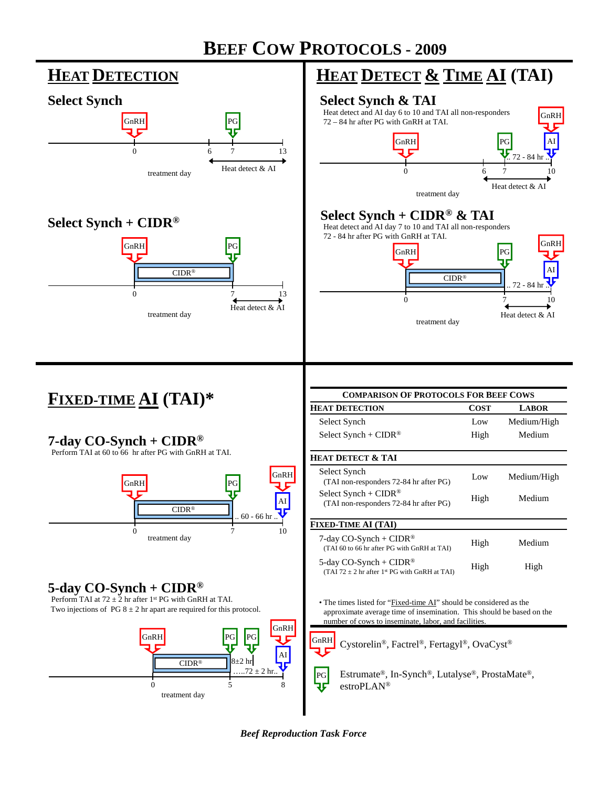



*Beef Reproduction Task Force*